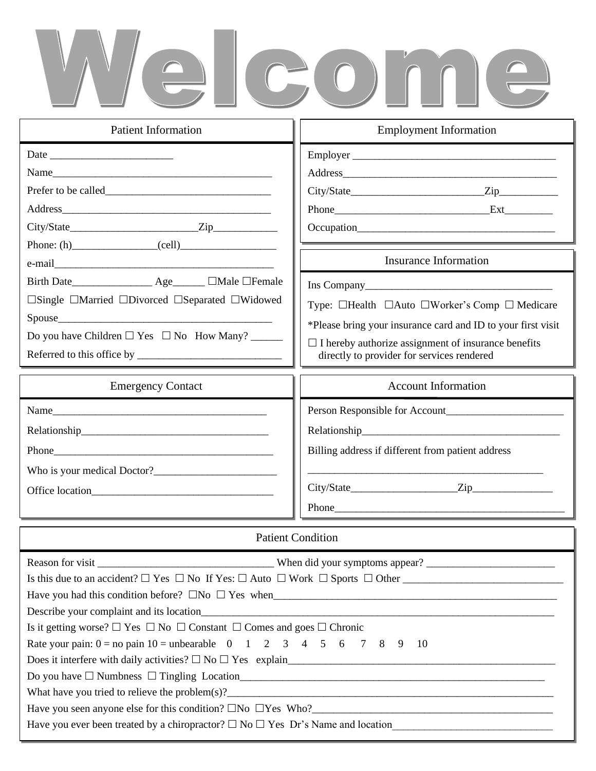# Welcome

| <b>Patient Information</b>                                                                                                                                                                                                                                                                                                                                                                         | <b>Employment Information</b>                                                                                                                                                                                                                                                       |  |
|----------------------------------------------------------------------------------------------------------------------------------------------------------------------------------------------------------------------------------------------------------------------------------------------------------------------------------------------------------------------------------------------------|-------------------------------------------------------------------------------------------------------------------------------------------------------------------------------------------------------------------------------------------------------------------------------------|--|
| Date<br>Name                                                                                                                                                                                                                                                                                                                                                                                       |                                                                                                                                                                                                                                                                                     |  |
| Phone: (h) $\qquad \qquad \qquad \qquad \qquad \qquad \qquad \qquad$ (cell)                                                                                                                                                                                                                                                                                                                        | <b>Insurance Information</b>                                                                                                                                                                                                                                                        |  |
| Birth Date_______________________ Age________ $\Box$ Male $\Box$ Female<br>$\Box$ Single $\Box$ Married $\Box$ Divorced $\Box$ Separated $\Box$ Widowed<br>Do you have Children $\Box$ Yes $\Box$ No How Many?                                                                                                                                                                                     | Type: $\Box$ Health $\Box$ Auto $\Box$ Worker's Comp $\Box$ Medicare<br>*Please bring your insurance card and ID to your first visit<br>$\Box$ I hereby authorize assignment of insurance benefits<br>directly to provider for services rendered                                    |  |
| <b>Emergency Contact</b>                                                                                                                                                                                                                                                                                                                                                                           | <b>Account Information</b>                                                                                                                                                                                                                                                          |  |
|                                                                                                                                                                                                                                                                                                                                                                                                    | Billing address if different from patient address<br>Phone has a series of the contract of the contract of the contract of the contract of the contract of the contract of the contract of the contract of the contract of the contract of the contract of the contract of the cont |  |
| <b>Patient Condition</b>                                                                                                                                                                                                                                                                                                                                                                           |                                                                                                                                                                                                                                                                                     |  |
| Is it getting worse? $\Box$ Yes $\Box$ No $\Box$ Constant $\Box$ Comes and goes $\Box$ Chronic<br>Rate your pain: $0 =$ no pain $10 =$ unbearable 0 1 2 3 4 5 6 7 8 9 10<br>What have you tried to relieve the problem(s)?<br>Have you seen anyone else for this condition? $\Box$ No $\Box$ Yes Who?<br>Have you ever been treated by a chiropractor? $\Box$ No $\Box$ Yes Dr's Name and location |                                                                                                                                                                                                                                                                                     |  |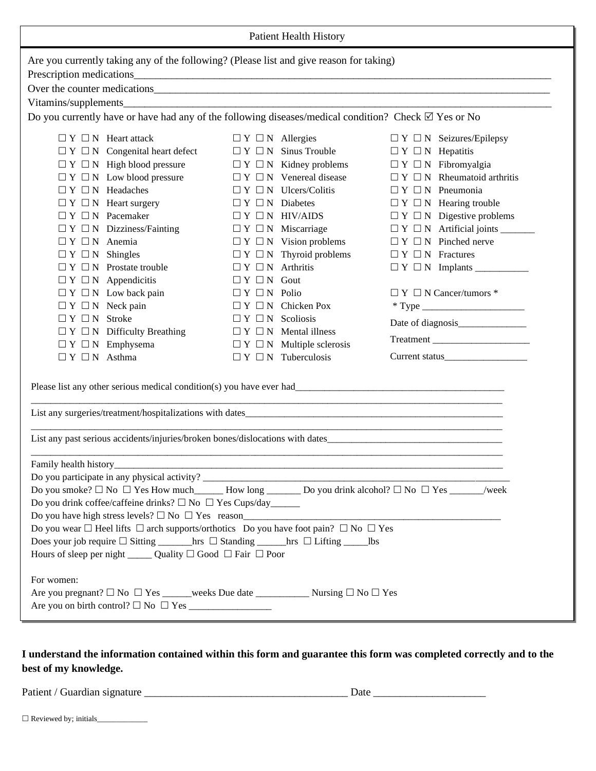| <b>Patient Health History</b>                                                                                                                                                                                                                                                                                                                                                                                                                                                                                                                                                                          |                                                                                                                                                                                                                                                                                                                                                                                                                                                                                                                                                                                     |                                                                                                                                                                                                                                                                                                                                                 |  |
|--------------------------------------------------------------------------------------------------------------------------------------------------------------------------------------------------------------------------------------------------------------------------------------------------------------------------------------------------------------------------------------------------------------------------------------------------------------------------------------------------------------------------------------------------------------------------------------------------------|-------------------------------------------------------------------------------------------------------------------------------------------------------------------------------------------------------------------------------------------------------------------------------------------------------------------------------------------------------------------------------------------------------------------------------------------------------------------------------------------------------------------------------------------------------------------------------------|-------------------------------------------------------------------------------------------------------------------------------------------------------------------------------------------------------------------------------------------------------------------------------------------------------------------------------------------------|--|
| Are you currently taking any of the following? (Please list and give reason for taking)<br>Over the counter medications expansion of the counter medications of the counter medications of the counter medications of the counter of the counter of the counter of the counter of the counter of the counter of the count<br>Do you currently have or have had any of the following diseases/medical condition? Check $\boxtimes$ Yes or No                                                                                                                                                            |                                                                                                                                                                                                                                                                                                                                                                                                                                                                                                                                                                                     |                                                                                                                                                                                                                                                                                                                                                 |  |
| $\Box Y \Box N$ Heart attack<br>$\Box Y \Box N$ Congenital heart defect<br>$\Box Y \Box N$ High blood pressure<br>$\Box Y \Box N$ Low blood pressure<br>$\Box Y \Box N$ Headaches<br>$\Box Y \Box N$ Heart surgery<br>$\Box Y \Box N$ Pacemaker<br>$\Box Y \Box N$ Dizziness/Fainting<br>$\Box Y \Box N$ Anemia<br>$\Box Y \Box N$ Shingles<br>$\Box Y \Box N$ Prostate trouble<br>$\Box Y \Box N$ Appendicitis<br>$\Box Y \Box N$ Low back pain<br>$\Box Y \Box N$ Neck pain<br>$\Box Y \Box N$ Stroke<br>$\Box Y \Box N$ Difficulty Breathing<br>$\Box Y \Box N$ Emphysema<br>$\Box Y \Box N$ Asthma | $\Box Y \Box N$ Allergies<br>$\Box Y \Box N$ Sinus Trouble<br>$\Box Y \Box N$ Kidney problems<br>$\Box Y \Box N$ Venereal disease<br>$\Box Y \Box N$ Ulcers/Colitis<br>$\Box Y \Box N$ Diabetes<br>$\Box Y \Box N$ HIV/AIDS<br>$\Box Y \Box N$ Miscarriage<br>$\Box Y \Box N$ Vision problems<br>$\Box Y \Box N$ Thyroid problems<br>$\Box Y \Box N$ Arthritis<br>$\Box Y \Box N$ Gout<br>$\Box Y \Box N$ Polio<br>$\Box Y \Box N$ Chicken Pox<br>$\Box Y \Box N$ Scoliosis<br>$\Box Y \Box N$ Mental illness<br>$\Box Y \Box N$ Multiple sclerosis<br>$\Box Y \Box N$ Tuberculosis | $\Box Y \Box N$ Seizures/Epilepsy<br>$\Box Y \Box N$ Hepatitis<br>$\Box Y \Box N$ Fibromyalgia<br>$\Box Y \Box N$ Rheumatoid arthritis<br>$\Box Y \Box N$ Pneumonia<br>$\Box Y \Box N$ Hearing trouble<br>$\Box Y \Box N$ Digestive problems<br>$\Box Y \Box N$ Pinched nerve<br>$\Box Y \Box N$ Fractures<br>$\Box$ Y $\Box$ N Cancer/tumors * |  |
| List any past serious accidents/injuries/broken bones/dislocations with dates<br>Family health history_<br>Do you smoke? $\Box$ No $\Box$ Yes How much ______ How long ________ Do you drink alcohol? $\Box$ No $\Box$ Yes ______/week<br>Do you drink coffee/caffeine drinks? $\square$ No $\square$ Yes Cups/day<br>Do you wear $\Box$ Heel lifts $\Box$ arch supports/orthotics Do you have foot pain? $\Box$ No $\Box$ Yes<br>Hours of sleep per night ________ Quality $\Box$ Good $\Box$ Fair $\Box$ Poor<br>For women:                                                                          |                                                                                                                                                                                                                                                                                                                                                                                                                                                                                                                                                                                     |                                                                                                                                                                                                                                                                                                                                                 |  |

# **I understand the information contained within this form and guarantee this form was completed correctly and to the best of my knowledge.**

Patient / Guardian signature \_\_\_\_\_\_\_\_\_\_\_\_\_\_\_\_\_\_\_\_\_\_\_\_\_\_\_\_\_\_\_\_\_\_\_\_\_\_ Date \_\_\_\_\_\_\_\_\_\_\_\_\_\_\_\_\_\_\_\_\_

Reviewed by; initials\_\_\_\_\_\_\_\_\_\_\_\_\_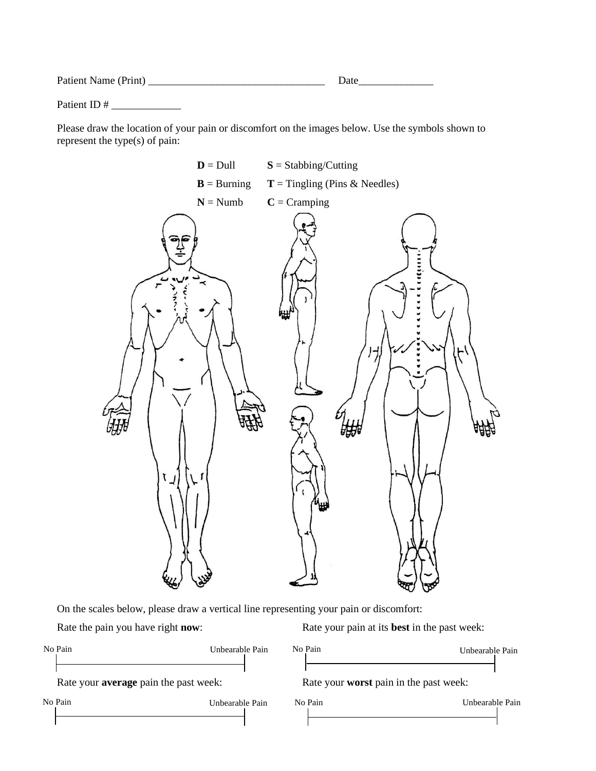| Patient Name (Print) | . ляте |
|----------------------|--------|
|                      |        |

Patient ID # \_\_\_\_\_\_\_\_\_\_\_\_\_

Please draw the location of your pain or discomfort on the images below. Use the symbols shown to represent the type(s) of pain:



On the scales below, please draw a vertical line representing your pain or discomfort:

Rate the pain you have right **now**: Rate your pain at its **best** in the past week:

| No Pain                                      | Unbearable Pain | No Pain                                       | Unbearable Pain |  |
|----------------------------------------------|-----------------|-----------------------------------------------|-----------------|--|
| Rate your <b>average</b> pain the past week: |                 | Rate your <b>worst</b> pain in the past week: |                 |  |
| No Pain                                      | Unbearable Pain | No Pain                                       | Unbearable Pain |  |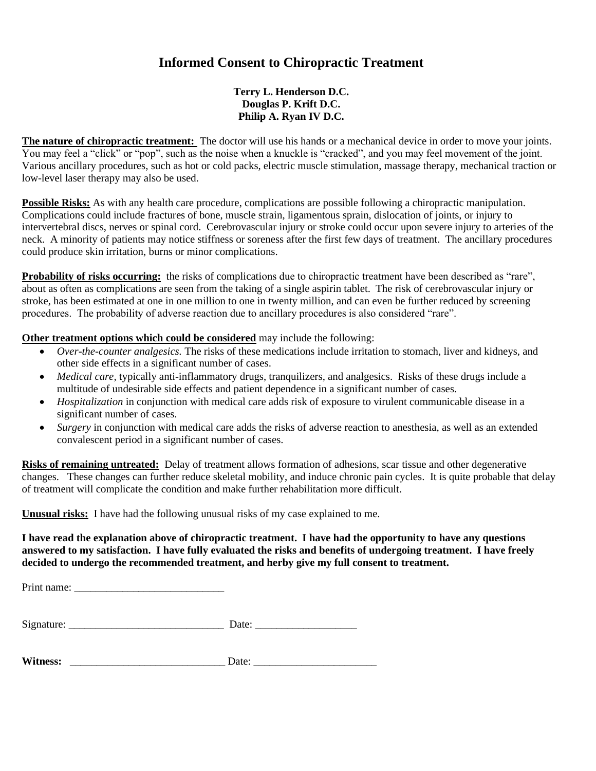# **Informed Consent to Chiropractic Treatment**

## **Terry L. Henderson D.C. Douglas P. Krift D.C. Philip A. Ryan IV D.C.**

**The nature of chiropractic treatment:** The doctor will use his hands or a mechanical device in order to move your joints. You may feel a "click" or "pop", such as the noise when a knuckle is "cracked", and you may feel movement of the joint. Various ancillary procedures, such as hot or cold packs, electric muscle stimulation, massage therapy, mechanical traction or low-level laser therapy may also be used.

**Possible Risks:** As with any health care procedure, complications are possible following a chiropractic manipulation. Complications could include fractures of bone, muscle strain, ligamentous sprain, dislocation of joints, or injury to intervertebral discs, nerves or spinal cord. Cerebrovascular injury or stroke could occur upon severe injury to arteries of the neck. A minority of patients may notice stiffness or soreness after the first few days of treatment. The ancillary procedures could produce skin irritation, burns or minor complications.

**Probability of risks occurring:** the risks of complications due to chiropractic treatment have been described as "rare", about as often as complications are seen from the taking of a single aspirin tablet. The risk of cerebrovascular injury or stroke, has been estimated at one in one million to one in twenty million, and can even be further reduced by screening procedures. The probability of adverse reaction due to ancillary procedures is also considered "rare".

**Other treatment options which could be considered** may include the following:

- *Over-the-counter analgesics.* The risks of these medications include irritation to stomach, liver and kidneys, and other side effects in a significant number of cases.
- *Medical care,* typically anti-inflammatory drugs, tranquilizers, and analgesics. Risks of these drugs include a multitude of undesirable side effects and patient dependence in a significant number of cases.
- *Hospitalization* in conjunction with medical care adds risk of exposure to virulent communicable disease in a significant number of cases.
- *Surgery* in conjunction with medical care adds the risks of adverse reaction to anesthesia, as well as an extended convalescent period in a significant number of cases.

**Risks of remaining untreated:** Delay of treatment allows formation of adhesions, scar tissue and other degenerative changes. These changes can further reduce skeletal mobility, and induce chronic pain cycles. It is quite probable that delay of treatment will complicate the condition and make further rehabilitation more difficult.

**Unusual risks:** I have had the following unusual risks of my case explained to me.

## **I have read the explanation above of chiropractic treatment. I have had the opportunity to have any questions answered to my satisfaction. I have fully evaluated the risks and benefits of undergoing treatment. I have freely decided to undergo the recommended treatment, and herby give my full consent to treatment.**

Print name: \_\_\_\_\_\_\_\_\_\_\_\_\_\_\_\_\_\_\_\_\_\_\_\_\_\_\_\_

| Signature: | ate |
|------------|-----|
|            |     |

| <b>Wi</b><br>tness:<br>------ |  |
|-------------------------------|--|
|-------------------------------|--|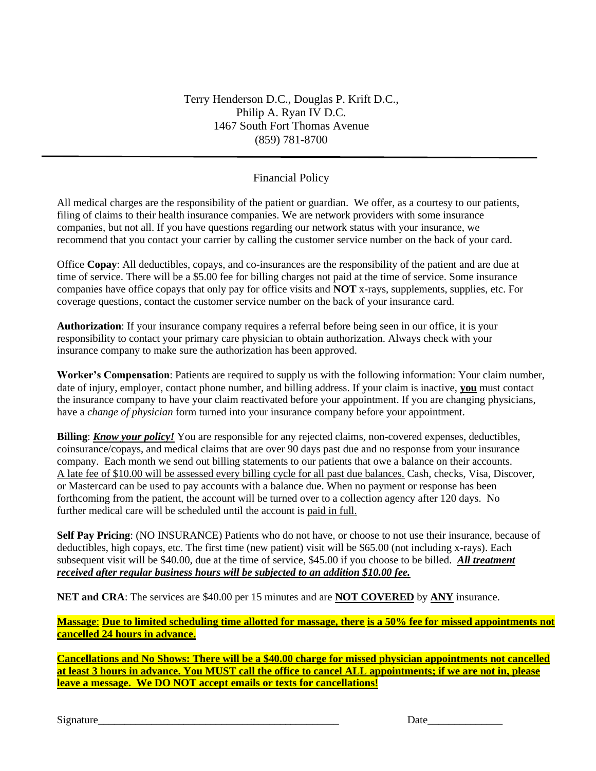## Financial Policy

All medical charges are the responsibility of the patient or guardian. We offer, as a courtesy to our patients, filing of claims to their health insurance companies. We are network providers with some insurance companies, but not all. If you have questions regarding our network status with your insurance, we recommend that you contact your carrier by calling the customer service number on the back of your card.

Office **Copay**: All deductibles, copays, and co-insurances are the responsibility of the patient and are due at time of service. There will be a \$5.00 fee for billing charges not paid at the time of service. Some insurance companies have office copays that only pay for office visits and **NOT** x-rays, supplements, supplies, etc. For coverage questions, contact the customer service number on the back of your insurance card.

**Authorization**: If your insurance company requires a referral before being seen in our office, it is your responsibility to contact your primary care physician to obtain authorization. Always check with your insurance company to make sure the authorization has been approved.

**Worker's Compensation**: Patients are required to supply us with the following information: Your claim number, date of injury, employer, contact phone number, and billing address. If your claim is inactive, **you** must contact the insurance company to have your claim reactivated before your appointment. If you are changing physicians, have a *change of physician* form turned into your insurance company before your appointment.

**Billing:** *Know your policy!* You are responsible for any rejected claims, non-covered expenses, deductibles, coinsurance/copays, and medical claims that are over 90 days past due and no response from your insurance company. Each month we send out billing statements to our patients that owe a balance on their accounts. A late fee of \$10.00 will be assessed every billing cycle for all past due balances. Cash, checks, Visa, Discover, or Mastercard can be used to pay accounts with a balance due. When no payment or response has been forthcoming from the patient, the account will be turned over to a collection agency after 120 days. No further medical care will be scheduled until the account is paid in full.

**Self Pay Pricing**: (NO INSURANCE) Patients who do not have, or choose to not use their insurance, because of deductibles, high copays, etc. The first time (new patient) visit will be \$65.00 (not including x-rays). Each subsequent visit will be \$40.00, due at the time of service, \$45.00 if you choose to be billed. *All treatment received after regular business hours will be subjected to an addition \$10.00 fee.*

**NET and CRA**: The services are \$40.00 per 15 minutes and are **NOT COVERED** by **ANY** insurance.

**Massage**: **Due to limited scheduling time allotted for massage, there is a 50% fee for missed appointments not cancelled 24 hours in advance.**

**Cancellations and No Shows: There will be a \$40.00 charge for missed physician appointments not cancelled at least 3 hours in advance. You MUST call the office to cancel ALL appointments; if we are not in, please leave a message. We DO NOT accept emails or texts for cancellations!**

 $Signature$  Date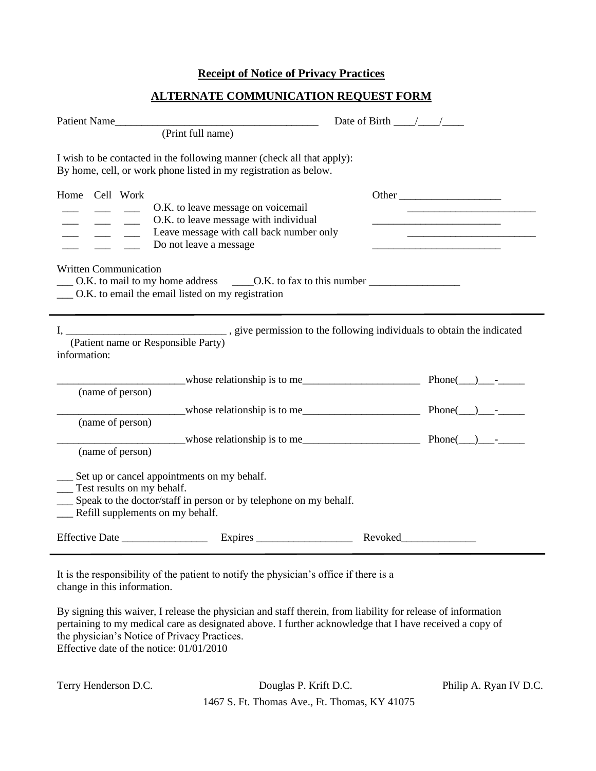## **Receipt of Notice of Privacy Practices**

## **ALTERNATE COMMUNICATION REQUEST FORM**

| Patient Name<br>(Print full name)                                                                                                                                                                                                                  | Date of Birth $\frac{\sqrt{2}}{2}$ |                                                                                                                        |  |
|----------------------------------------------------------------------------------------------------------------------------------------------------------------------------------------------------------------------------------------------------|------------------------------------|------------------------------------------------------------------------------------------------------------------------|--|
| I wish to be contacted in the following manner (check all that apply):<br>By home, cell, or work phone listed in my registration as below.                                                                                                         |                                    |                                                                                                                        |  |
| Home Cell Work                                                                                                                                                                                                                                     | Other                              |                                                                                                                        |  |
| O.K. to leave message on voicemail<br>O.K. to leave message with individual                                                                                                                                                                        |                                    | the control of the control of the control of the control of                                                            |  |
| Leave message with call back number only<br>Do not leave a message                                                                                                                                                                                 |                                    | <u> 1989 - Johann Stoff, deutscher Stoffen und der Stoffen und der Stoffen und der Stoffen und der Stoffen und der</u> |  |
| <b>Written Communication</b><br>__ O.K. to email the email listed on my registration                                                                                                                                                               |                                    |                                                                                                                        |  |
| (Patient name or Responsible Party)<br>information:                                                                                                                                                                                                |                                    |                                                                                                                        |  |
|                                                                                                                                                                                                                                                    |                                    |                                                                                                                        |  |
| (name of person)                                                                                                                                                                                                                                   |                                    |                                                                                                                        |  |
| whose relationship is to me lead and the contract phone (1) contract phone (2) contract phone (2) contract phone (2) contract phone (2) contract phone (2) contract phone (2) contract phone (2) contract phone (2) contract p<br>(name of person) |                                    |                                                                                                                        |  |
| whose relationship is to me $\qquad \qquad$ Phone( $\qquad$ ) --                                                                                                                                                                                   |                                    |                                                                                                                        |  |
| (name of person)                                                                                                                                                                                                                                   |                                    |                                                                                                                        |  |
| Set up or cancel appointments on my behalf.<br>Test results on my behalf.<br>Speak to the doctor/staff in person or by telephone on my behalf.<br>Refill supplements on my behalf.                                                                 |                                    |                                                                                                                        |  |
|                                                                                                                                                                                                                                                    |                                    |                                                                                                                        |  |

It is the responsibility of the patient to notify the physician's office if there is a change in this information.

By signing this waiver, I release the physician and staff therein, from liability for release of information pertaining to my medical care as designated above. I further acknowledge that I have received a copy of the physician's Notice of Privacy Practices. Effective date of the notice: 01/01/2010

|  | Terry Henderson D.C. |  |
|--|----------------------|--|
|--|----------------------|--|

 $\blacksquare$ 

Douglas P. Krift D.C. Philip A. Ryan IV D.C.

1467 S. Ft. Thomas Ave., Ft. Thomas, KY 41075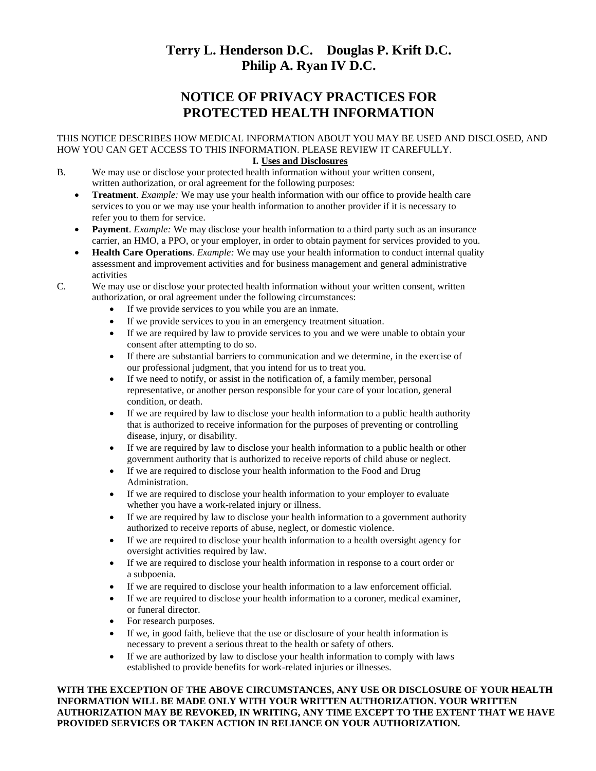# **Terry L. Henderson D.C. Douglas P. Krift D.C. Philip A. Ryan IV D.C.**

# **NOTICE OF PRIVACY PRACTICES FOR PROTECTED HEALTH INFORMATION**

## THIS NOTICE DESCRIBES HOW MEDICAL INFORMATION ABOUT YOU MAY BE USED AND DISCLOSED, AND HOW YOU CAN GET ACCESS TO THIS INFORMATION. PLEASE REVIEW IT CAREFULLY.

### **I. Uses and Disclosures**

- B. We may use or disclose your protected health information without your written consent, written authorization, or oral agreement for the following purposes:
	- **Treatment**. *Example:* We may use your health information with our office to provide health care services to you or we may use your health information to another provider if it is necessary to refer you to them for service.
	- **Payment**. *Example:* We may disclose your health information to a third party such as an insurance carrier, an HMO, a PPO, or your employer, in order to obtain payment for services provided to you.
	- **Health Care Operations**. *Example:* We may use your health information to conduct internal quality assessment and improvement activities and for business management and general administrative activities

C. We may use or disclose your protected health information without your written consent, written authorization, or oral agreement under the following circumstances:

- If we provide services to you while you are an inmate.
- If we provide services to you in an emergency treatment situation.
- If we are required by law to provide services to you and we were unable to obtain your consent after attempting to do so.
- If there are substantial barriers to communication and we determine, in the exercise of our professional judgment, that you intend for us to treat you.
- If we need to notify, or assist in the notification of, a family member, personal representative, or another person responsible for your care of your location, general condition, or death.
- If we are required by law to disclose your health information to a public health authority that is authorized to receive information for the purposes of preventing or controlling disease, injury, or disability.
- If we are required by law to disclose your health information to a public health or other government authority that is authorized to receive reports of child abuse or neglect.
- If we are required to disclose your health information to the Food and Drug Administration.
- If we are required to disclose your health information to your employer to evaluate whether you have a work-related injury or illness.
- If we are required by law to disclose your health information to a government authority authorized to receive reports of abuse, neglect, or domestic violence.
- If we are required to disclose your health information to a health oversight agency for oversight activities required by law.
- If we are required to disclose your health information in response to a court order or a subpoenia.
- If we are required to disclose your health information to a law enforcement official.
- If we are required to disclose your health information to a coroner, medical examiner, or funeral director.
- For research purposes.
- If we, in good faith, believe that the use or disclosure of your health information is necessary to prevent a serious threat to the health or safety of others.
- If we are authorized by law to disclose your health information to comply with laws established to provide benefits for work-related injuries or illnesses.

**WITH THE EXCEPTION OF THE ABOVE CIRCUMSTANCES, ANY USE OR DISCLOSURE OF YOUR HEALTH INFORMATION WILL BE MADE ONLY WITH YOUR WRITTEN AUTHORIZATION. YOUR WRITTEN AUTHORIZATION MAY BE REVOKED, IN WRITING, ANY TIME EXCEPT TO THE EXTENT THAT WE HAVE PROVIDED SERVICES OR TAKEN ACTION IN RELIANCE ON YOUR AUTHORIZATION.**